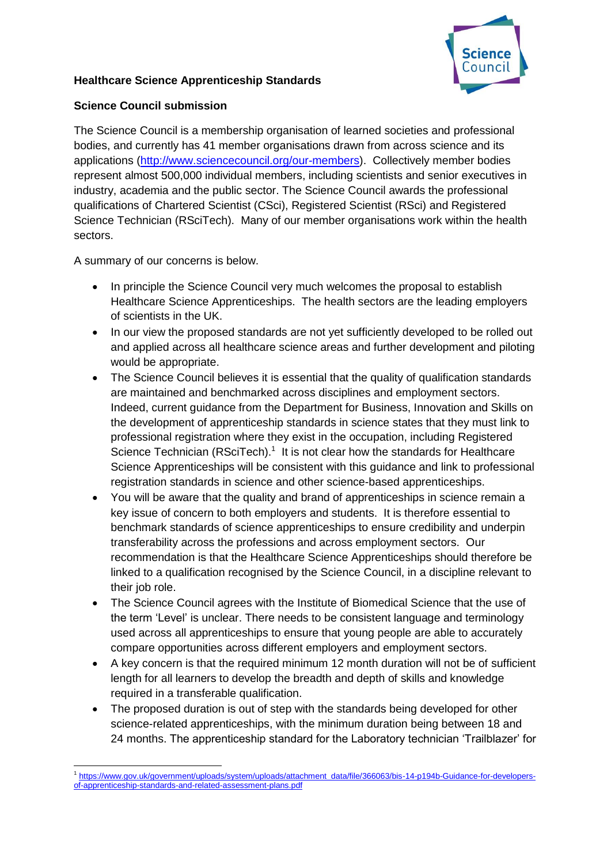

## **Healthcare Science Apprenticeship Standards**

## **Science Council submission**

The Science Council is a membership organisation of learned societies and professional bodies, and currently has 41 member organisations drawn from across science and its applications [\(http://www.sciencecouncil.org/our-members\)](http://www.sciencecouncil.org/our-members). Collectively member bodies represent almost 500,000 individual members, including scientists and senior executives in industry, academia and the public sector. The Science Council awards the professional qualifications of Chartered Scientist (CSci), Registered Scientist (RSci) and Registered Science Technician (RSciTech). Many of our member organisations work within the health sectors.

A summary of our concerns is below.

- In principle the Science Council very much welcomes the proposal to establish Healthcare Science Apprenticeships. The health sectors are the leading employers of scientists in the UK.
- In our view the proposed standards are not yet sufficiently developed to be rolled out and applied across all healthcare science areas and further development and piloting would be appropriate.
- The Science Council believes it is essential that the quality of qualification standards are maintained and benchmarked across disciplines and employment sectors. Indeed, current guidance from the Department for Business, Innovation and Skills on the development of apprenticeship standards in science states that they must link to professional registration where they exist in the occupation, including Registered Science Technician (RSciTech). $<sup>1</sup>$  It is not clear how the standards for Healthcare</sup> Science Apprenticeships will be consistent with this guidance and link to professional registration standards in science and other science-based apprenticeships.
- You will be aware that the quality and brand of apprenticeships in science remain a key issue of concern to both employers and students. It is therefore essential to benchmark standards of science apprenticeships to ensure credibility and underpin transferability across the professions and across employment sectors. Our recommendation is that the Healthcare Science Apprenticeships should therefore be linked to a qualification recognised by the Science Council, in a discipline relevant to their job role.
- The Science Council agrees with the Institute of Biomedical Science that the use of the term 'Level' is unclear. There needs to be consistent language and terminology used across all apprenticeships to ensure that young people are able to accurately compare opportunities across different employers and employment sectors.
- A key concern is that the required minimum 12 month duration will not be of sufficient length for all learners to develop the breadth and depth of skills and knowledge required in a transferable qualification.
- The proposed duration is out of step with the standards being developed for other science-related apprenticeships, with the minimum duration being between 18 and 24 months. The apprenticeship standard for the Laboratory technician 'Trailblazer' for

<sup>1</sup> 1 [https://www.gov.uk/government/uploads/system/uploads/attachment\\_data/file/366063/bis-14-p194b-Guidance-for-developers](https://www.gov.uk/government/uploads/system/uploads/attachment_data/file/366063/bis-14-p194b-Guidance-for-developers-of-apprenticeship-standards-and-related-assessment-plans.pdf)[of-apprenticeship-standards-and-related-assessment-plans.pdf](https://www.gov.uk/government/uploads/system/uploads/attachment_data/file/366063/bis-14-p194b-Guidance-for-developers-of-apprenticeship-standards-and-related-assessment-plans.pdf)